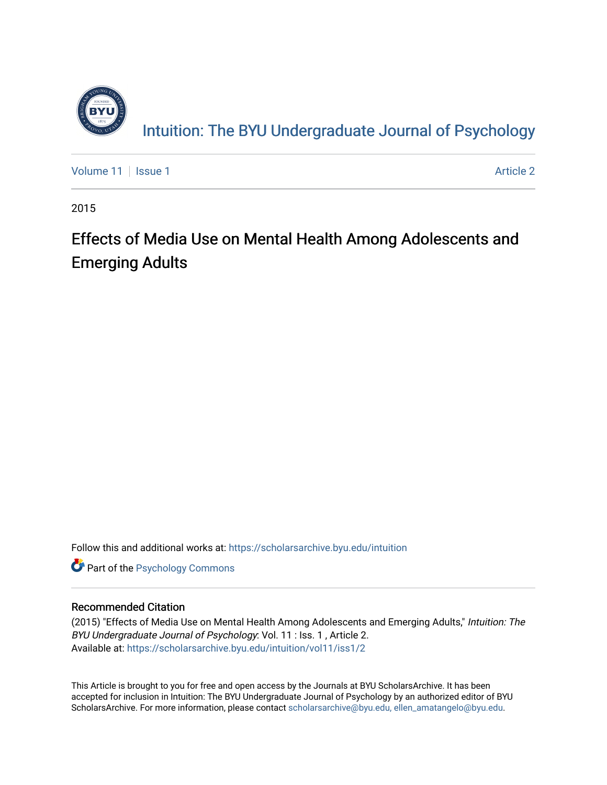

[Volume 11](https://scholarsarchive.byu.edu/intuition/vol11) | [Issue 1](https://scholarsarchive.byu.edu/intuition/vol11/iss1) Article 2

2015

# Effects of Media Use on Mental Health Among Adolescents and Emerging Adults

Follow this and additional works at: [https://scholarsarchive.byu.edu/intuition](https://scholarsarchive.byu.edu/intuition?utm_source=scholarsarchive.byu.edu%2Fintuition%2Fvol11%2Fiss1%2F2&utm_medium=PDF&utm_campaign=PDFCoverPages) 

**Part of the Psychology Commons** 

#### Recommended Citation

(2015) "Effects of Media Use on Mental Health Among Adolescents and Emerging Adults," Intuition: The BYU Undergraduate Journal of Psychology: Vol. 11 : Iss. 1 , Article 2. Available at: [https://scholarsarchive.byu.edu/intuition/vol11/iss1/2](https://scholarsarchive.byu.edu/intuition/vol11/iss1/2?utm_source=scholarsarchive.byu.edu%2Fintuition%2Fvol11%2Fiss1%2F2&utm_medium=PDF&utm_campaign=PDFCoverPages) 

This Article is brought to you for free and open access by the Journals at BYU ScholarsArchive. It has been accepted for inclusion in Intuition: The BYU Undergraduate Journal of Psychology by an authorized editor of BYU ScholarsArchive. For more information, please contact [scholarsarchive@byu.edu, ellen\\_amatangelo@byu.edu.](mailto:scholarsarchive@byu.edu,%20ellen_amatangelo@byu.edu)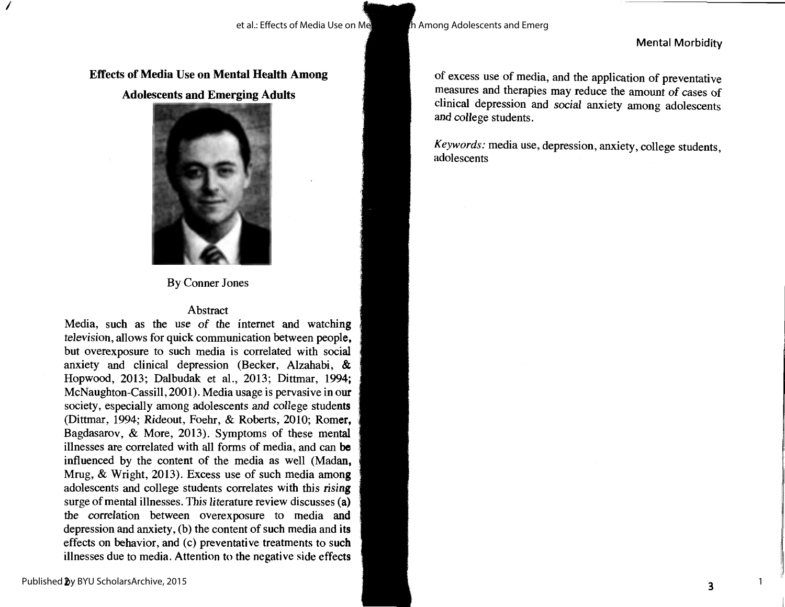#### Mental Morbidity

**Effects of Media Use on Mental Health Among Adolescents and Emerging Adults** 



By Conner Jones

### Abstract

Media, such as the use of the internet and watching television, allows for quick communication between people, but overexposure to such media is correlated with social anxiety and clinical depression (Becker, Alzahabi, & Hopwood, 2013; Dalbudak et al., 2013; Dittmar, 1994; McNaughton-Cassill, 2001). Media usage is pervasive in our society, especially among adolescents and college students (Dittmar, 1994; Rideout, Foehr, & Roberts, 2010; Romer, Bagdasarov, & More, 2013). Symptoms of these mental illnesses are correlated with all forms of media, and can **be**  influenced by the content of the media as well (Madan, Mrug, & Wright, 2013). Excess use of such media **among**  adolescents and college students correlates with this **rising**  surge of mental illnesses. This literature review discusses **(a)**  the correlation between overexposure to media and depression and anxiety, (b) the content of such media and its effects on behavior, and (c) preventative treatments to such illnesses due to media. Attention to the negative side effects

of excess use of media, and the application of preventative measures and therapies may reduce the amount of cases of clinical depression and social anxiety among adolescents and college students.

*Keywords:* media use, depression, anxiety, college students, adolescents

*I*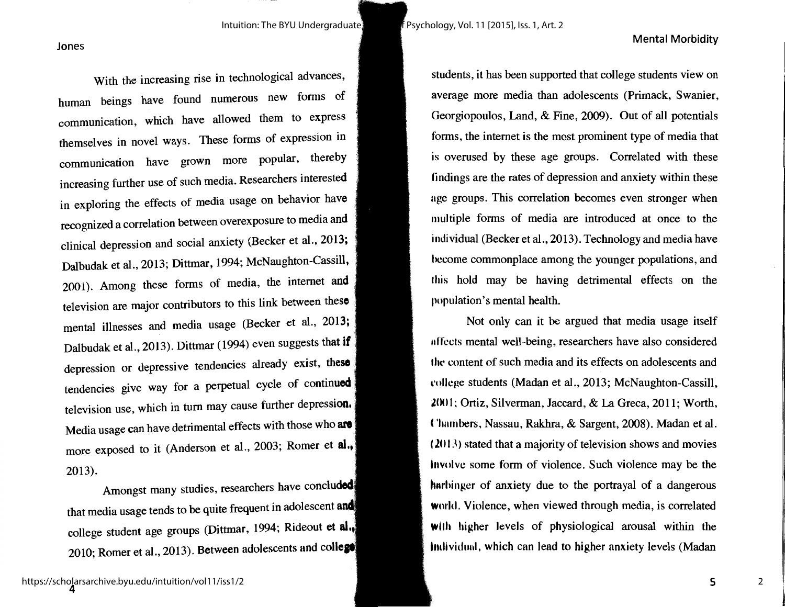Intuition: The BYU Undergraduate  $\frac{1}{2}$   $\frac{1}{2}$  Psychology, Vol. 11 [2015], Iss. 1, Art. 2

#### Mental Morbidity

Jones

With the increasing rise in technological advances, human beings have found numerous new forms of communication, which have allowed them to express themselves in novel ways. These forms of expression in communication have grown more popular, thereby increasing further use of such media. Researchers interested in exploring the effects of media usage on behavior **have**  recognized a correlation between overexposure to media **and**  clinical depression and social anxiety (Becker et al., 2013; Dalbudak et al., 2013; Dittmar, 1994; McNaughton-Cassill, 2001). Among these forms of media, the internet **and**  television are major contributors to this link between **these**  mental illnesses and media usage (Becker et al., 2013; Dalbudak et al., 2013). Dittmar (1994) even suggests that **if**  depression or depressive tendencies already exist, **these**  tendencies give way for a perpetual cycle of continued television use, which in tum may cause further depression, Media usage can have detrimental effects with those who **are**  more exposed to it (Anderson et al., 2003; Romer et **al,,**  2013).

Amongst many studies, researchers have concluded that media usage tends to be quite frequent in adolescent and college student age groups (Dittmar, 1994; Rideout **et al,.<sup>1</sup>** 2010; Romer et al., 2013). Between adolescents and **colle**  students, it has been supported that college students view on average more media than adolescents (Primack, Swanier, Georgiopoulos, Land, & Fine, 2009). Out of all potentials forms, the internet is the most prominent type of media that is overused by these age groups. Correlated with these findings are the rates of depression and anxiety within these age groups. This correlation becomes even stronger when multiple forms of media are introduced at once to the individual (Becker et al., 2013). Technology and media have hccome commonplace among the younger populations, and this hold may be having detrimental effects on the population's mental health.

Not only can it be argued that media usage itself nffccts mental well-being, researchers have also considered the content of such media and its effects on adolescents and l'ollcge students (Madan et al., 2013; McNaughton-Cassill, **2001**; Ortiz, Silverman, Jaccard, & La Greca, 2011; Worth, ( 'hambers, Nassau, Rakhra, & Sargent, 2008). Madan et al. ( **.Z()** I J) stated that a majority of television shows and movies Involve some form of violence. Such violence may be the harbinger of anxiety due to the portrayal of a dangerous **Wmld.** Violence, when viewed through media, is correlated **with** higher levels of physiological arousal within the Individual, which can lead to higher anxiety levels (Madan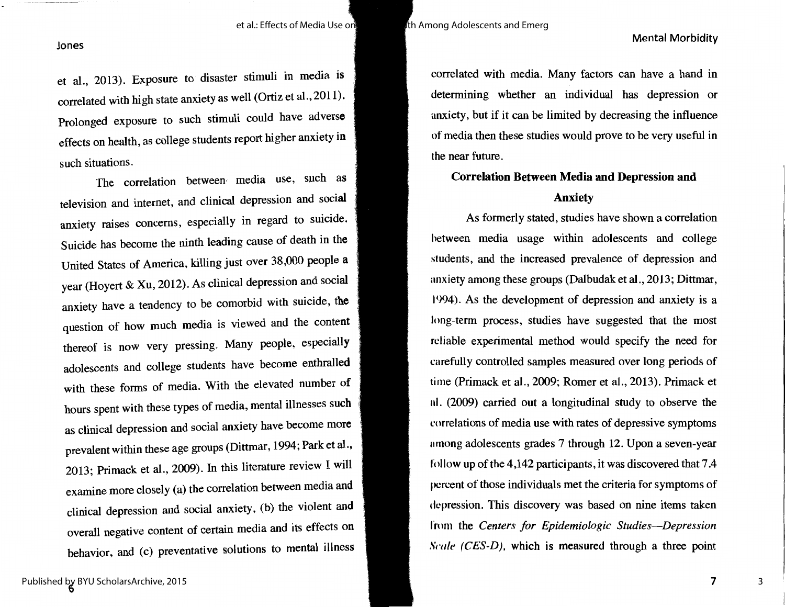#### Mental Morbidity

#### Jones

et al., 2013). Exposure to disaster stimuli in media is correlated with high state anxiety as well (Ortiz et al., 2011). Prolonged exposure to such stimuli could have adverse effects on health, as college students report higher anxiety **in**  such situations.

The correlation between media use, such as television and internet, and clinical depression and social anxiety raises concerns, especially in regard to suicide. Suicide has become the ninth leading cause of death in **the**  United States of America, killing just over 38,000 people **<sup>a</sup>** year (Hoyert & Xu, 2012). As clinical depression and social anxiety have a tendency to be comorbid with suicide, **the**  question of how much media is viewed and the content thereof is now very pressing. Many people, especially adolescents and college students have become enthralled with these forms of media. With the elevated number of hours spent with these types of media, mental illnesses such as clinical depression and social anxiety have become more prevalent within these age groups (Dittmar, 1994; Park et al., 2013; Primack et al., 2009). In this literature review I will examine more closely (a) the correlation between media and clinical depression and social anxiety, (b) the violent and overall negative content of certain media and its effects on behavior, and (c) preventative solutions to mental illness correlated with media. Many factors can have a hand in determining whether an individual has depression or anxiety, but if it can be limited by decreasing the influence of media then these studies would prove to be very useful in the near future.

## **Correlation Between Media and Depression and Anxiety**

As formerly stated, studies have shown a correlation between media usage within adolescents and college students, and the increased prevalence of depression and anxiety among these groups (Dalbudak et al., 2013; Dittmar, 1994). As the development of depression and anxiety is a long-term process, studies have suggested that the most reliable experimental method would specify the need for carefully controlled samples measured over long periods of time (Primack et al., 2009; Romer et al., 2013). Primack et al. (2009) carried out a longitudinal study to observe the correlations of media use with rates of depressive symptoms among adolescents grades 7 through 12. Upon a seven-year follow up of the 4,142 participants, it was discovered that 7 .4 percent of those individuals met the criteria for symptoms of depression. This discovery was based on nine items taken from the *Centers for Epidemiologic Studies-Depression Scale (CES-D)*, which is measured through a three point

3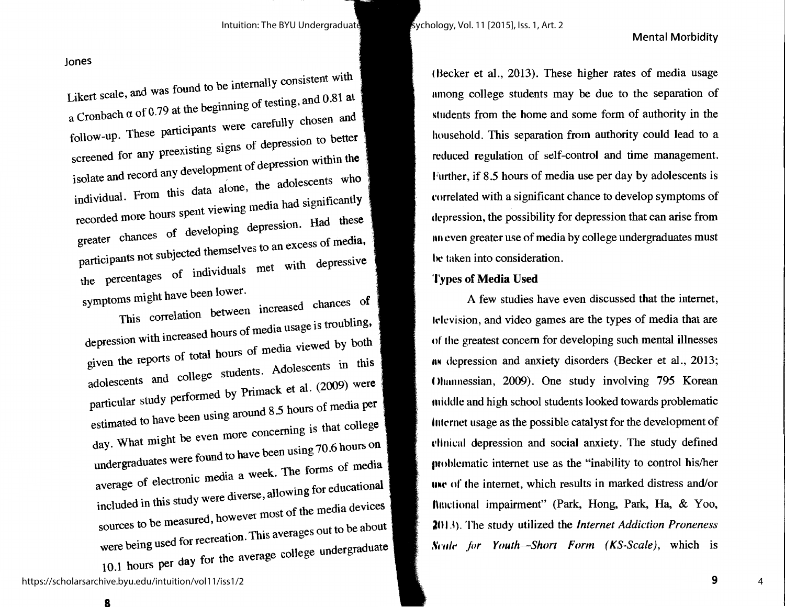#### Mental Morbidity

Jones

Likert scale, and was found to be internally consistent with a Cronbach  $\alpha$  of 0.79 at the beginning of testing, and 0.81 at follow-up. These participants were carefully chosen and screened for any preexisting signs of depression to better isolate and record any development of depression within the individual. From this data alone, the adolescents who recorded more hours spent viewing media had significantly greater chances of developing depression. **Had these**  participants not subjected themselves to an excess of **media,**  the percentages of individuals met with depressive symptoms might have been lower.

 $T$  is correlation between increased chances depression with increased hours of media usage is troubling, given the reports of total hours of media viewed by **both**  adolescents and college students. Adolescents in this particular study performed by Primack et al. (2009) were estimated to have been using around 8 .5 hours of media per day. What might be even more concerning is that college undergraduates were found to have been using 70 .6 hours on average of electronic media a week. The forms of media included in this study were diverse, allowing for educational sources to be measured, however most of the media devices were being used for recreation. This averages out to be about 10.l hours per day for the average college undergraduate ( Becker et al., 2013). These higher rates of media usage nmong college students may be due to the separation of students from the home and some form of authority in the household. This separation from authority could lead to a reduced regulation of self-control and time management. Further, if 8.5 hours of media use per day by adolescents is l'orrelated with a significant chance to develop symptoms of depression, the possibility for depression that can arise from an even greater use of media by college undergraduates must he taken into consideration.

### **'J'ypcs of Media Used**

A few studies have even discussed that the internet, lelevision, and video games are the types of media that are of the greatest concern for developing such mental illnesses nw depression and anxiety disorders (Becker et al., 2013; ( )hnnnessian, 2009). One study involving 795 Korean middle and high school students looked towards problematic Internet usage as the possible catalyst for the development of clinical depression and social anxiety. The study defined **1m** 1hlcmatic internet use as the "inability to control his/her une of the internet, which results in marked distress and/or functional impairment" (Park, Hong, Park, Ha, & Yoo, **201.\).** The study utilized the *Internet Addiction Proneness .~n,lt' for Youth--Short Form ( KS-Scale),* which is

https://scholarsarchive.byu.edu/intuition/vol11/iss1/2

a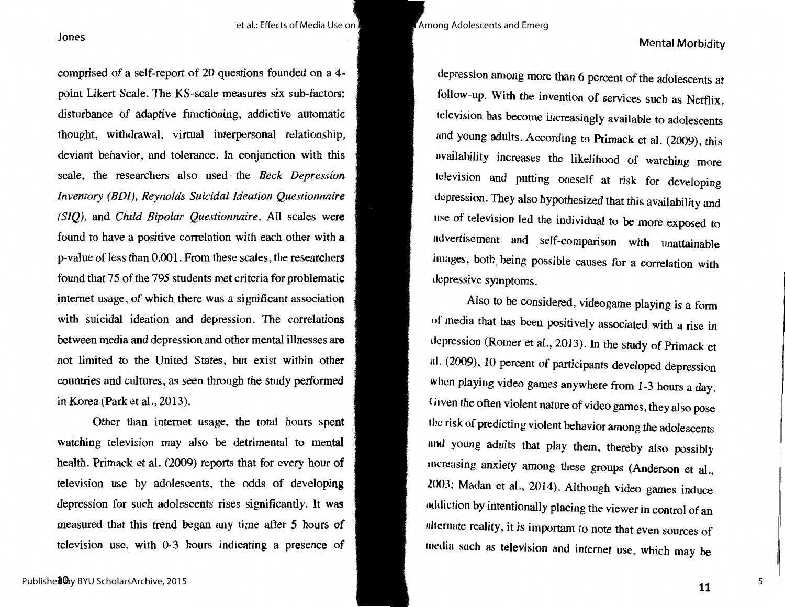### Mental Morbidity

comprised of a self-report of 20 questions founded on a 4 point Likert Scale. The KS-scale measures six sub-factors: disturbance of adaptive functioning, addictive automatic thought, withdrawal, virtual interpersonal relationship, deviant behavior, and tolerance. In conjunction with this scale, the researchers also used the *Beck Depression Inventory (BDI), Reynolds Suicidal Ideation Questionnaire (SIQ),* and *Child Bipolar Questionnaire.* All scales **were**  found to have a positive correlation with each other with **<sup>a</sup>** p-value of less than 0.001. From these scales, the researchers found that 75 of the 795 students met criteria for problematic internet usage, of which there was a significant association with suicidal ideation and depression. The correlations between media and depression and other mental illnesses **are**  not limited to the United States, but exist within **other**  countries and cultures, as seen through the study performed in Korea (Park et al., 2013).

Other than internet usage, the total hours spent watching television may also be detrimental to mental health. Primack et al. (2009) reports that for every hour of television use by adolescents, the odds of developing depression for such adolescents rises significantly. It was measured that this trend began any time after 5 hours of television use, with 0-3 hours indicating a presence of

depression among more than 6 percent of the adolescents at follow-up. With the invention of services such as Netflix, television has become increasingly available to adolescents and young adults. According to Primack et al. (2009), this availability increases the likelihood of watching more television and putting oneself at risk for developing depression. They also hypothesized that this availability and use of television led the individual to be more exposed to ndvertisement and self-comparison with unattainable images, both\_ being possible causes for a correlation with depressive symptoms.

Also to be considered, videogame playing is a form of media that has been positively associated with a rise in depression (Romer et al., 2013). In the study of Primack et nl. (2009), 10 percent of participants developed depression when playing video games anywhere from 1-3 hours a day. Given the often violent nature of video games, they also pose the risk of predicting violent behavior among the adolescents nnd young adults that play them, thereby also possibly increasing anxiety among these groups (Anderson et al.,  $2003$ ; Madan et al., 2014). Although video games induce nddiction by intentionally placing the viewer in control of an nltcrnate reality, it is important to note that even sources of media such as television and internet use, which may be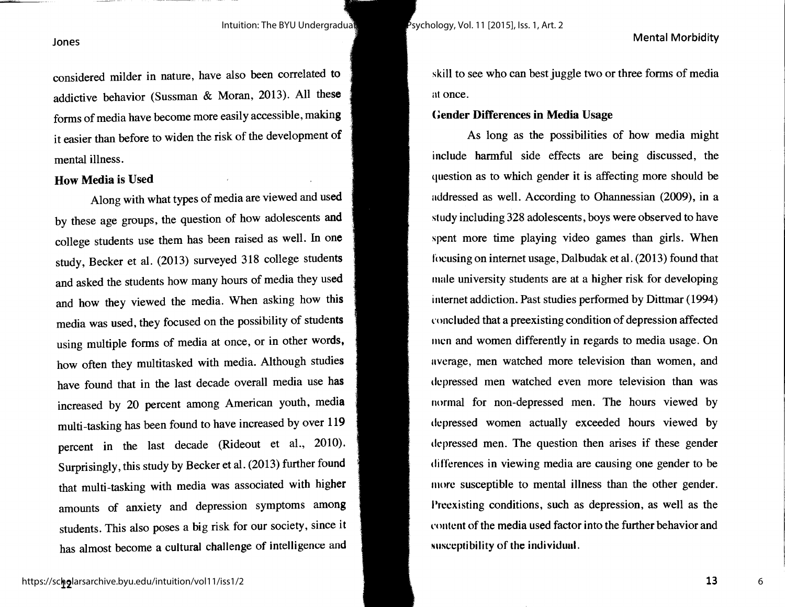Intuition: The BYU Undergraduate Journal of Psychology, Vol. 11 [2015], Iss. 1, Art. 2

#### Mental Morbidity

#### Jones

considered milder in nature, have also been correlated to addictive behavior (Sussman & Moran, 2013). All these forms of media have become more easily accessible, **making**  it easier than before to widen the risk of the development **of**  mental illness.

#### **How Media is Used**

Along with what types of media are viewed and **used**  by these age groups, the question of how adolescents **and**  college students use them has been raised as well. In **one**  study, Becker et al. (2013) surveyed 318 college students and asked the students how many hours of media they used and how they viewed the media. When asking how this media was used, they focused on the possibility of students using multiple forms of media at once, or in other words, how often they multitasked with media. Although studies have found that in the last decade overall media use has increased by 20 percent among American youth, media multi-tasking has been found to have increased by over 119 percent in the last decade (Rideout et al., 2010). Surprisingly, this study by Becker et al. (2013) further found that multi-tasking with media was associated with higher amounts of anxiety and depression symptoms among students. This also poses a big risk for our society, since it has almost become a cultural challenge of intelligence and skill to see who can best juggle two or three forms of media at once.

#### **Gender Differences in Media Usage**

As long as the possibilities of how media might include harmful side effects are being discussed, the question as to which gender it is affecting more should be addressed as well. According to Ohannessian (2009), in a study including 328 adolescents, boys were observed to have spent more time playing video games than girls. When focusing on internet usage, Dalbudak et al. (2013) found that male university students are at a higher risk for developing internet addiction. Past studies performed by Dittmar (1994) concluded that a preexisting condition of depression affected men and women differently in regards to media usage. On average, men watched more television than women, and depressed men watched even more television than was normal for non-depressed men. The hours viewed by depressed women actually exceeded hours viewed by depressed men. The question then arises if these gender differences in viewing media are causing one gender to be more susceptible to mental illness than the other gender. Preexisting conditions, such as depression, as well as the content of the media used factor into the further behavior and susceptibility of the individual.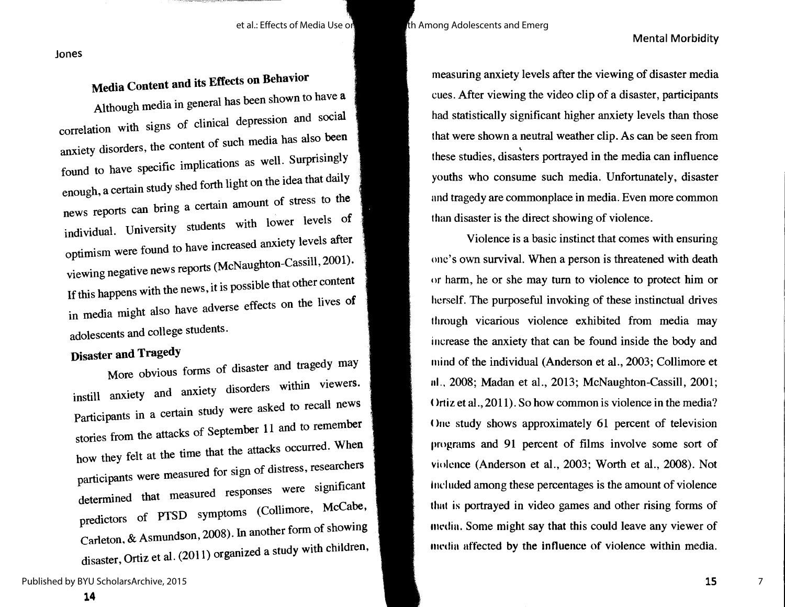#### Mental Morbidity

Jones

#### **Media Content and its Effects on Behavior**

Although media in general has been shown to have **<sup>a</sup>** correlation with signs of clinical depression and social anxiety disorders, the content of such media has also been found to have specific implications as well. Surprisingly enough, a certain study shed forth light on the idea that **daily**  news reports can bring a certain amount of stress to **the**  individual. University students with lower levels **of**  optimism were found to have increased anxiety levels **after**  viewing negative news reports (McNaughton-Cassill, 2001). If this happens with the news, it is possible that other content in media might also have adverse effects on the lives of adolescents and college students.

# **Disaster and Tragedy**

More obvious forms of disaster and tragedy may instill anxiety and anxiety disorders within viewers. Participants in a certain study were asked to recall **news**  stories from the attacks of September 11 and to remember how they felt at the time that the attacks occurred. **When**  participants were measured for sign of distress, researchers determined that measured responses were significant predictors of PTSD symptoms (Collimore, McCabe, Carleton, & Asmundson, 2008). In another form of showing disaster, Ortiz et al. (2011) organized a study with children,

Published by BYU ScholarsArchive, 2015

measuring anxiety levels after the viewing of disaster media cues. After viewing the video clip of a disaster, participants had statistically significant higher anxiety levels than those that were shown a neutral weather clip. As can be seen from these studies, disasters portrayed in the media can influence youths who consume such media. Unfortunately, disaster and tragedy are commonplace in media. Even more common than disaster is the direct showing of violence.

Violence is a basic instinct that comes with ensuring one's own survival. When a person is threatened with death or harm, he or she may turn to violence to protect him or herself. The purposeful invoking of these instinctual drives through vicarious violence exhibited from media may increase the anxiety that can be found inside the body and mind of the individual (Anderson et al., 2003; Collimore et 11I.. 2008; Madan et al., 2013; McNaughton-Cassill, 2001; ( $l$ rtiz et al., 2011). So how common is violence in the media? One study shows approximately 61 percent of television programs and 91 percent of films involve some sort of violence (Anderson et al., 2003; Worth et al., 2008). Not Included among these percentages is the amount of violence thnt is portrayed in video games and other rising forms of mrdin. Some might say that this could leave any viewer of media affected by the influence of violence within media.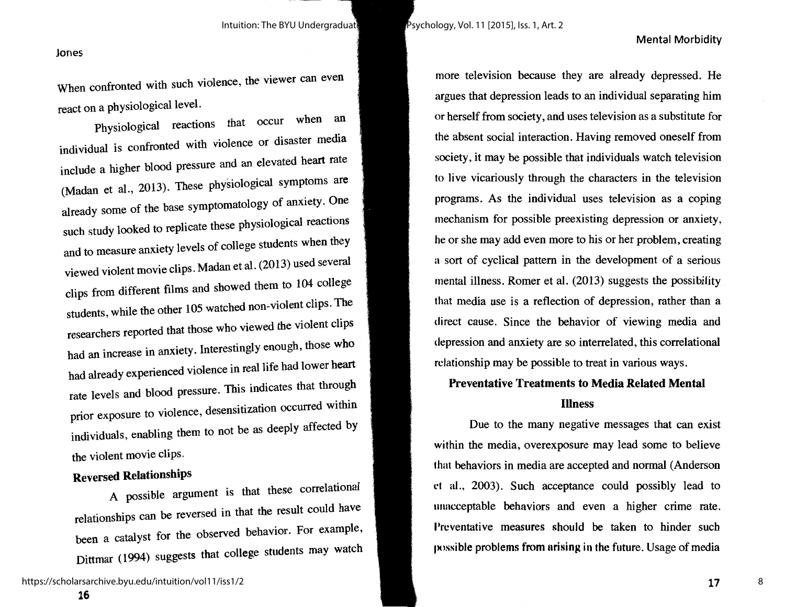#### Jones

When confronted with such violence, the viewer can even react on a physiological level.

Physiological reactions that occur when an individual is confronted with violence or disaster media include a higher blood pressure and an elevated heart rate (Madan et al., 2013). These physiological symptoms are already some of the base symptomatology of anxiety. One such study looked to replicate these physiological reactions and to measure anxiety levels of college students when they viewed violent movie clips. Madan et al. (2013) used several clips from different films and showed them to 104 college students, while the other 105 watched non-violent clips. The researchers reported that those who viewed the violent clips had an increase in anxiety. Interestingly enough, those who had already experienced violence in real life had lower heart rate levels and blood pressure. This indicates that through prior exposure to violence, desensitization occurred within individuals, enabling them to not be as deeply affected by the violent movie clips.

## **Reversed Relationships**

A possible argument is that these correlational relationships can be reversed in that the result could have been a catalyst for the observed behavior. For example, Dittmar ( 1994) suggests that college students may watch

**16** 

more television because they are already depressed. He argues that depression leads to an individual separating him or herself from society, and uses television as a substitute for the absent social interaction. Having removed oneself from society, it may be possible that individuals watch television to live vicariously through the characters in the television programs. As the individual uses television as a coping mechanism for possible preexisting depression or anxiety, he or she may add even more to his or her problem, creating a sort of cyclical pattern in the development of a serious mental illness. Romer et al. (2013) suggests the possibility that media use is a reflection of depression, rather than a direct cause. Since the behavior of viewing media and depression and anxiety are so interrelated, this correlational relationship may be possible to treat in various ways.

Mental Morbidity

#### **Preventative Treatments to Media Related Mental**

#### **Illness**

Due to the many negative messages that can exist within the media, overexposure may lead some to believe that behaviors in media are accepted and normal (Anderson <sup>t</sup>'I al., 2003). Such acceptance could possibly lead to unacceptable behaviors and even a higher crime rate. Preventative measures should be taken to hinder such possible problems from arising in the future. Usage of media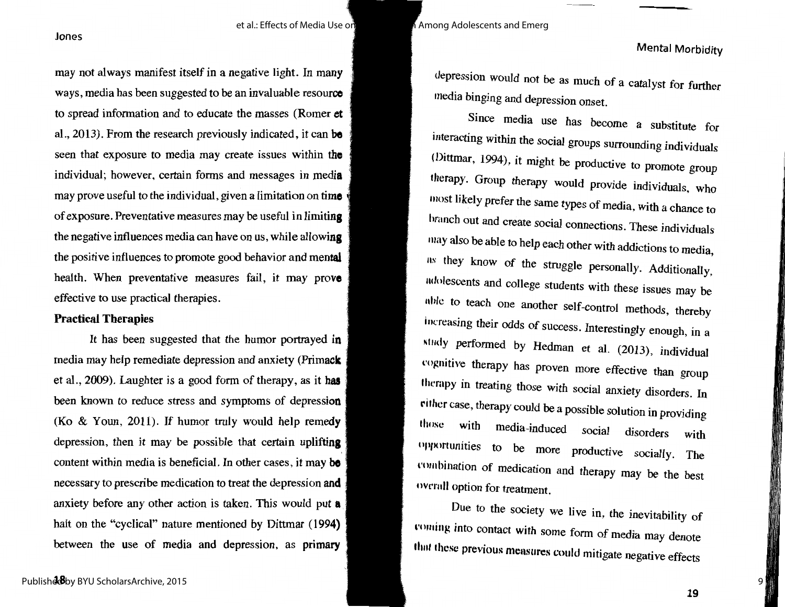may not always manifest itself in a negative light. In many ways, media has been suggested to be an invaluable resource to spread information and to educate the masses (Romer **et**  al., 2013). From the research previously indicated, it can **be**  seen that exposure to media may create issues within **the**  individual; however, certain forms and messages in **media**  may prove useful to the individual, given a limitation on **time**  of exposure. Preventative measures may be useful in **limiting**  the negative influences media can have on us, while **allowing**  the positive influences to promote good behavior and **mental**  health. When preventative measures fail, it may **prove**  effective to use practical therapies.

#### **Practical Therapies**

It has been suggested that the humor portrayed **in**  media may help remediate depression and anxiety **(Primack**  et al., 2009). Laughter is a good form of therapy, as it **has**  been known to reduce stress and symptoms of depression (Ko  $\&$  Youn, 2011). If humor truly would help remedy depression, then it may be possible that certain uplifting content within media is beneficial. In other cases, it may **be**  necessary to prescribe medication to treat the depression **and**  anxiety before any other action is taken. This would put **<sup>a</sup>** halt on the "cyclical" nature mentioned by Dittmar (1994**)** between the use of media and depression, as primary

depression would not be as much of a catalyst for further media binging and depression onset.

Since media use has become a substitute for interacting within the social groups surrounding individuals (Dittmar, 1994), it might be productive to promote group therapy. Group therapy would provide individuals, who most likely prefer the same types of media, with a chance to here the did create social connections. These individuals may also be able to help each other with addictions to media, us they know of the struggle personally. Additionally, 11dolescents and college students with these issues may be 11hlc to teach one another self-control methods, thereby increasing their odds of success. Interestingly enough, in a study performed by Hedman et al. (2013), individual cognitive therapy has proven more effective than group therapy in treating those with social anxiety disorders. In rither case, therapy could be a possible solution in providing those with media-induced social disorders With opportunities to be more productive socially. The combination of medication and therapy may be the best overall option for treatment.

Due to the society we live in, the inevitability of coming into contact with some form of media may denote that these previous measures could mitigate negative effects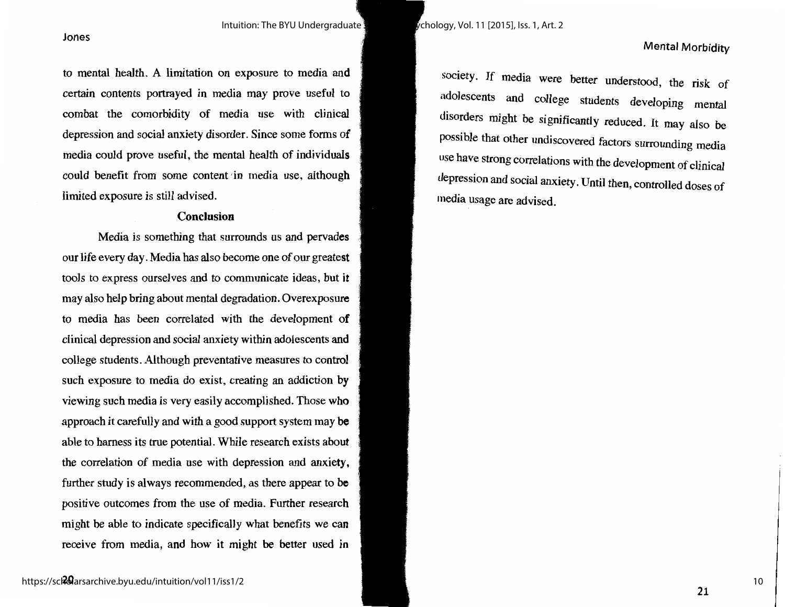Intuition: The BYU Undergraduate Journal of Psychology, Vol. 11 [2015], Iss. 1, Art. 2

to mental health. A limitation on exposure to media and certain contents portrayed in media may prove useful to combat the comorbidity of media use with clinical depression and social anxiety disorder. Since some forms of media could prove useful, the mental health of individuals could benefit from some content 'in media use, although limited exposure is still advised.

#### **Conclusion**

Media is something that surrounds us and pervades our life every day. Media has also become one of our greatest tools to express ourselves and to communicate ideas, but it may also help bring about mental degradation. Overexposure to media has been correlated with the development **of**  clinical depression and social anxiety within adolescents **and**  college students. Although preventative measures to control such exposure to media do exist, creating an addiction by viewing such media is very easily accomplished. Those who approach it carefully and with a good support system may **be**  able to harness its true potential. While research exists about the correlation of media use with depression and anxiety, further study is always recommended, as there appear to **be**  positive outcomes from the use of media. Further research might be able to indicate specifically what benefits we can receive from media, and how it might be better used in

society. If media were better understood, the risk of adolescents and college students developing mental disorders might be significantly reduced. It may also be possible that other undiscovered factors surrounding media use have strong correlations with the development of clinical depression and social anxiety. Until then, controlled doses of media usage are advised.

Mental Morbidity

Jones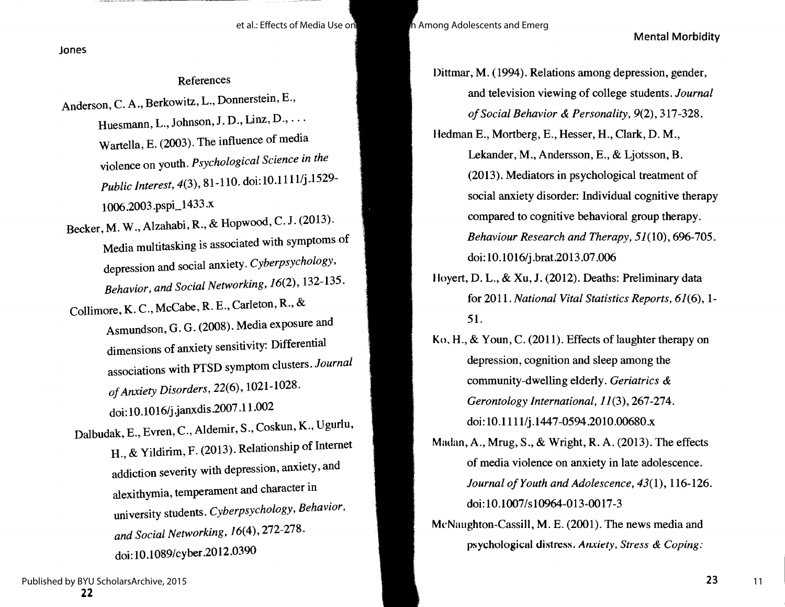Mental Morbidity

Jones

#### References

- Anderson, C. A., Berkowitz, L., Donnerstein, E., Huesmann, L., Johnson, J. D., Linz, D., ... Wartella, E. (2003). The influence of media violence on youth. *Psychological Science in the Public Interest, 4(3), 81-110. doi:10.1111/j.1529-*1006.2003 .pspi\_l 433 .x
- Becker, M. W.,Alzahabi, R., & Hopwood, C. J. (2013). Media multitasking is associated with symptoms of depression and social anxiety. *Cyberpsychology, Behavior, and Social Networking,* 16(2), 132-135.
- Collimore, K. C., McCabe, R. E., Carleton, R., & Asmundson, G. G. (2008). Media exposure and dimensions of anxiety sensitivity: Differential associations with PTSD symptom clusters. *Journal of Anxiety Disorders,* 22(6), 1021-1028. doi: 10.1016/j.janxdis.2007.l 1.002
- Dalbudak, E., Evren, C., Aldemir, S., Coskun, K., Ugurlu, H., & Yildirim, F. (2013). Relationship of Internet addiction severity with depression, anxiety, and alexithymia, temperament and character in university students. *Cyberpsychology, Behavior, and Social Networking,* /6(4), 272-278. doi: 10.1089/cyber.2012.0390
- Dittmar, M. (1994). Relations among depression, gender, and television viewing of college students. *Journal of Social Behavior & Personality,* 9(2), 317-328. Hedman E., Mortberg, E., Hesser, H., Clark, D. M., Lekander, M., Andersson, E., & Ljotsson, B. (2013). Mediators in psychological treatment of
	- social anxiety disorder: Individual cognitive therapy compared to cognitive behavioral group therapy. *Behaviour Research and Therapy,* 51(10), 696-705. doi: 10.1016/j.brat.2013.07 .006
- I loyert, D. L., & Xu, J. (2012). Deaths: Preliminary data for 2011. *National Vital Statistics Reports,* 61(6), 1- 51.
- **Ko, H.,** & Youn, C. (2011). Effects of laughter therapy on depression, cognition and sleep among the community-dwelling elderly. *Geriatrics & Gerontology International,* 11(3), 267-274. doi: 10.1111/j.1447-0594.2010.00680.x
- Madan, A., Mrug, S., & Wright, R. A. (2013). The effects of media violence on anxiety in late adolescence. *Journal of Youth and Adolescence, 43(1),* 116-126. doi: 10.1007/s10964-013-0017-3
- McNaughton-Cassill, M. E. (2001). The news media and psychological distress. *Anxiety, Stress & Coping:*